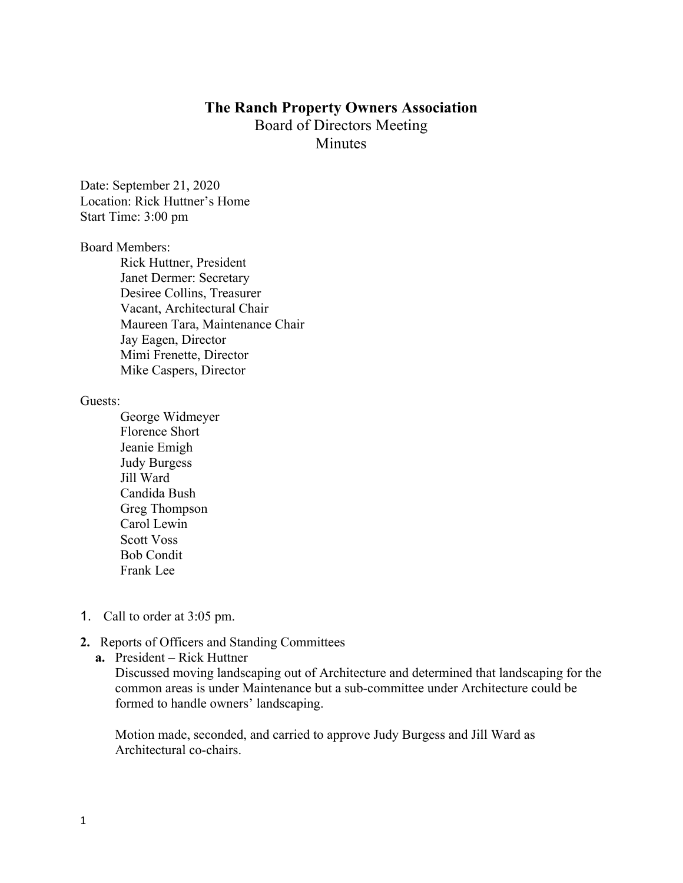## **The Ranch Property Owners Association** Board of Directors Meeting **Minutes**

Date: September 21, 2020 Location: Rick Huttner's Home Start Time: 3:00 pm

## Board Members:

Rick Huttner, President Janet Dermer: Secretary Desiree Collins, Treasurer Vacant, Architectural Chair Maureen Tara, Maintenance Chair Jay Eagen, Director Mimi Frenette, Director Mike Caspers, Director

## Guests:

- George Widmeyer Florence Short Jeanie Emigh Judy Burgess Jill Ward Candida Bush Greg Thompson Carol Lewin Scott Voss Bob Condit Frank Lee
- 1. Call to order at 3:05 pm.

## **2.** Reports of Officers and Standing Committees

**a.** President – Rick Huttner

Discussed moving landscaping out of Architecture and determined that landscaping for the common areas is under Maintenance but a sub-committee under Architecture could be formed to handle owners' landscaping.

Motion made, seconded, and carried to approve Judy Burgess and Jill Ward as Architectural co-chairs.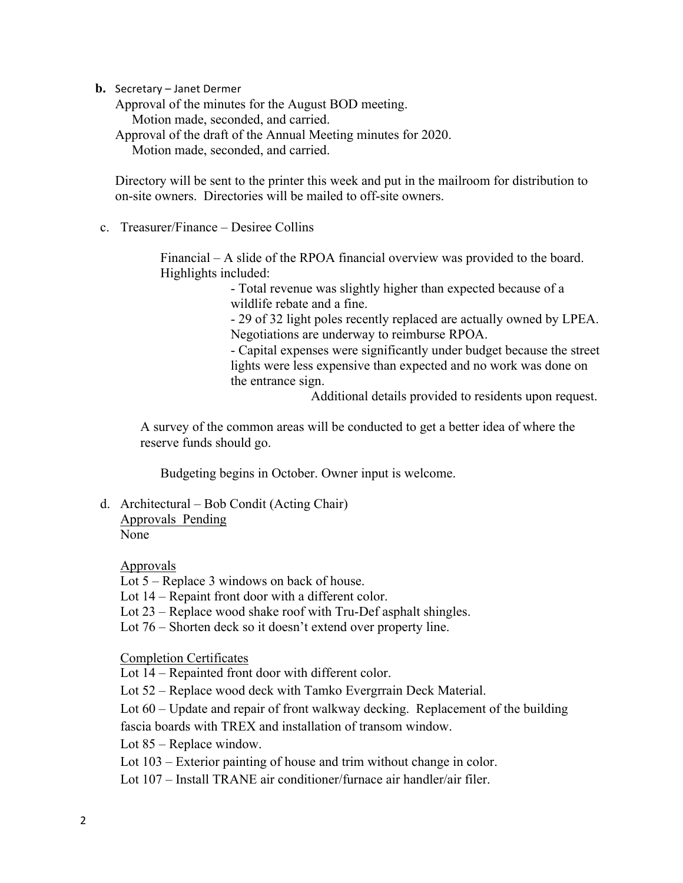**b.** Secretary – Janet Dermer

Approval of the minutes for the August BOD meeting. Motion made, seconded, and carried. Approval of the draft of the Annual Meeting minutes for 2020. Motion made, seconded, and carried.

Directory will be sent to the printer this week and put in the mailroom for distribution to on-site owners. Directories will be mailed to off-site owners.

c. Treasurer/Finance – Desiree Collins

Financial – A slide of the RPOA financial overview was provided to the board. Highlights included:

> - Total revenue was slightly higher than expected because of a wildlife rebate and a fine.

- 29 of 32 light poles recently replaced are actually owned by LPEA. Negotiations are underway to reimburse RPOA.

- Capital expenses were significantly under budget because the street lights were less expensive than expected and no work was done on the entrance sign.

Additional details provided to residents upon request.

A survey of the common areas will be conducted to get a better idea of where the reserve funds should go.

Budgeting begins in October. Owner input is welcome.

d. Architectural – Bob Condit (Acting Chair) Approvals Pending

None

Approvals

Lot 5 – Replace 3 windows on back of house.

Lot 14 – Repaint front door with a different color.

Lot 23 – Replace wood shake roof with Tru-Def asphalt shingles.

Lot 76 – Shorten deck so it doesn't extend over property line.

Completion Certificates

Lot 14 – Repainted front door with different color.

Lot 52 – Replace wood deck with Tamko Evergrrain Deck Material.

Lot 60 – Update and repair of front walkway decking. Replacement of the building fascia boards with TREX and installation of transom window.

Lot 85 – Replace window.

Lot 103 – Exterior painting of house and trim without change in color.

Lot 107 – Install TRANE air conditioner/furnace air handler/air filer.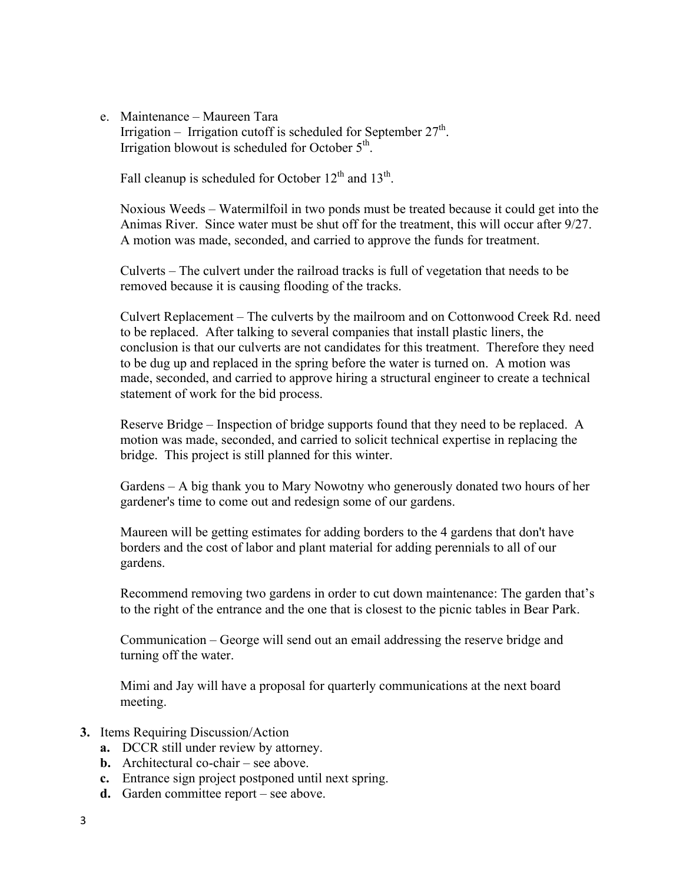e. Maintenance – Maureen Tara Irrigation – Irrigation cutoff is scheduled for September  $27<sup>th</sup>$ . Irrigation blowout is scheduled for October  $5<sup>th</sup>$ .

Fall cleanup is scheduled for October  $12<sup>th</sup>$  and  $13<sup>th</sup>$ .

Noxious Weeds – Watermilfoil in two ponds must be treated because it could get into the Animas River. Since water must be shut off for the treatment, this will occur after 9/27. A motion was made, seconded, and carried to approve the funds for treatment.

Culverts – The culvert under the railroad tracks is full of vegetation that needs to be removed because it is causing flooding of the tracks.

Culvert Replacement – The culverts by the mailroom and on Cottonwood Creek Rd. need to be replaced. After talking to several companies that install plastic liners, the conclusion is that our culverts are not candidates for this treatment. Therefore they need to be dug up and replaced in the spring before the water is turned on. A motion was made, seconded, and carried to approve hiring a structural engineer to create a technical statement of work for the bid process.

Reserve Bridge – Inspection of bridge supports found that they need to be replaced. A motion was made, seconded, and carried to solicit technical expertise in replacing the bridge. This project is still planned for this winter.

Gardens – A big thank you to Mary Nowotny who generously donated two hours of her gardener's time to come out and redesign some of our gardens.

Maureen will be getting estimates for adding borders to the 4 gardens that don't have borders and the cost of labor and plant material for adding perennials to all of our gardens.

Recommend removing two gardens in order to cut down maintenance: The garden that's to the right of the entrance and the one that is closest to the picnic tables in Bear Park.

Communication – George will send out an email addressing the reserve bridge and turning off the water.

Mimi and Jay will have a proposal for quarterly communications at the next board meeting.

- **3.** Items Requiring Discussion/Action
	- **a.** DCCR still under review by attorney.
	- **b.** Architectural co-chair see above.
	- **c.** Entrance sign project postponed until next spring.
	- **d.** Garden committee report see above.